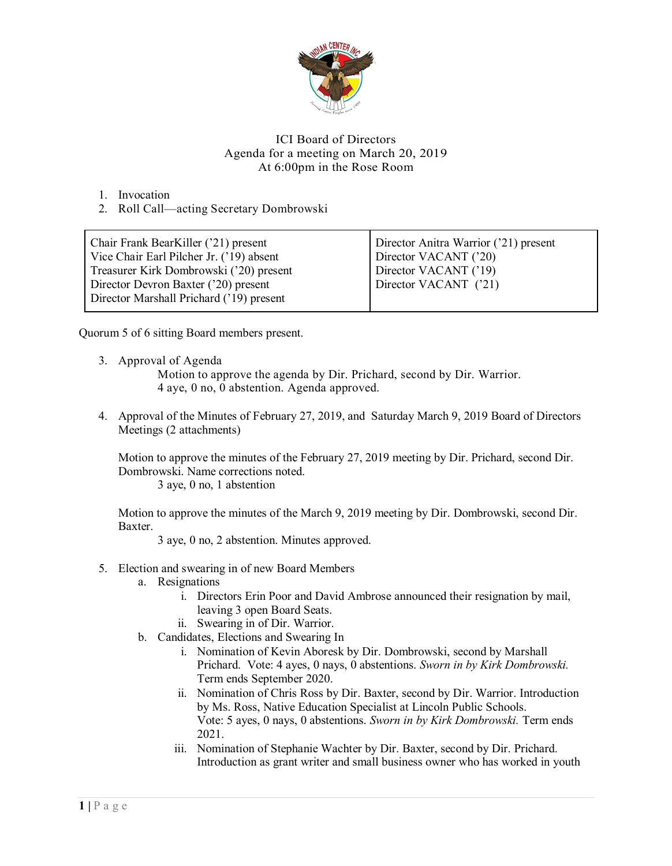

## ICI Board of Directors Agenda for a meeting on March 20, 2019 At 6:00pm in the Rose Room

1. Invocation

2. Roll Call—acting Secretary Dombrowski

| Chair Frank BearKiller ('21) present     | Director Anitra Warrior ('21) present |
|------------------------------------------|---------------------------------------|
| Vice Chair Earl Pilcher Jr. ('19) absent | Director VACANT ('20)                 |
| Treasurer Kirk Dombrowski ('20) present  | Director VACANT ('19)                 |
| Director Devron Baxter ('20) present     | Director VACANT ('21)                 |
| Director Marshall Prichard ('19) present |                                       |

Quorum 5 of 6 sitting Board members present.

3. Approval of Agenda

Motion to approve the agenda by Dir. Prichard, second by Dir. Warrior. 4 aye, 0 no, 0 abstention. Agenda approved.

4. Approval of the Minutes of February 27, 2019, and Saturday March 9, 2019 Board of Directors Meetings (2 attachments)

Motion to approve the minutes of the February 27, 2019 meeting by Dir. Prichard, second Dir. Dombrowski. Name corrections noted.

3 aye, 0 no, 1 abstention

Motion to approve the minutes of the March 9, 2019 meeting by Dir. Dombrowski, second Dir. Baxter.

3 aye, 0 no, 2 abstention. Minutes approved.

- 5. Election and swearing in of new Board Members
	- a. Resignations
		- i. Directors Erin Poor and David Ambrose announced their resignation by mail, leaving 3 open Board Seats.
		- ii. Swearing in of Dir. Warrior.
	- b. Candidates, Elections and Swearing In
		- i. Nomination of Kevin Aboresk by Dir. Dombrowski, second by Marshall Prichard. Vote: 4 ayes, 0 nays, 0 abstentions. *Sworn in by Kirk Dombrowski.*  Term ends September 2020.
		- ii. Nomination of Chris Ross by Dir. Baxter, second by Dir. Warrior. Introduction by Ms. Ross, Native Education Specialist at Lincoln Public Schools. Vote: 5 ayes, 0 nays, 0 abstentions. *Sworn in by Kirk Dombrowski.* Term ends 2021.
		- iii. Nomination of Stephanie Wachter by Dir. Baxter, second by Dir. Prichard. Introduction as grant writer and small business owner who has worked in youth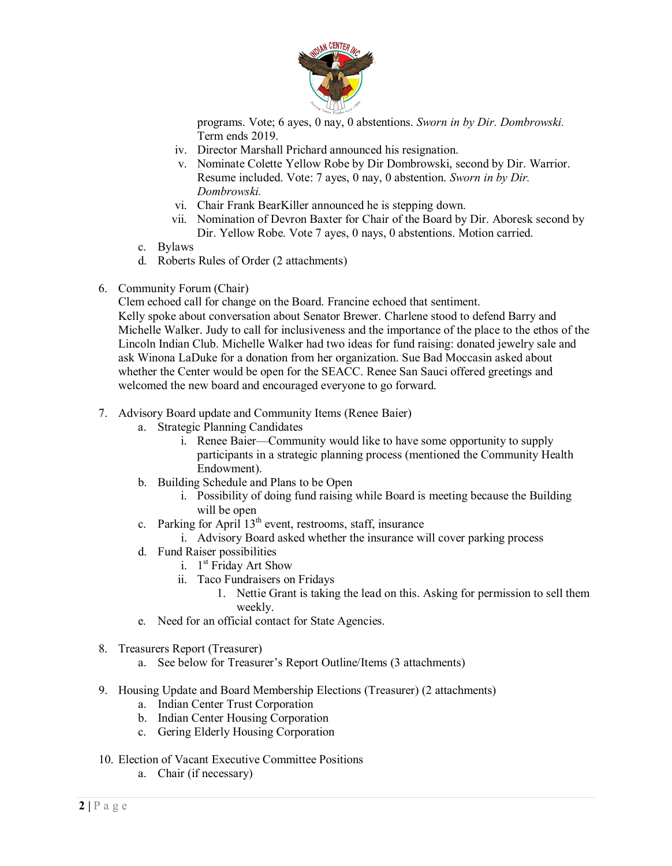

programs. Vote; 6 ayes, 0 nay, 0 abstentions. *Sworn in by Dir. Dombrowski.*  Term ends 2019.

- iv. Director Marshall Prichard announced his resignation.
- v. Nominate Colette Yellow Robe by Dir Dombrowski, second by Dir. Warrior. Resume included. Vote: 7 ayes, 0 nay, 0 abstention. *Sworn in by Dir. Dombrowski.*
- vi. Chair Frank BearKiller announced he is stepping down.
- vii. Nomination of Devron Baxter for Chair of the Board by Dir. Aboresk second by Dir. Yellow Robe. Vote 7 ayes, 0 nays, 0 abstentions. Motion carried.
- c. Bylaws
- d. Roberts Rules of Order (2 attachments)
- 6. Community Forum (Chair)

Clem echoed call for change on the Board. Francine echoed that sentiment. Kelly spoke about conversation about Senator Brewer. Charlene stood to defend Barry and Michelle Walker. Judy to call for inclusiveness and the importance of the place to the ethos of the Lincoln Indian Club. Michelle Walker had two ideas for fund raising: donated jewelry sale and ask Winona LaDuke for a donation from her organization. Sue Bad Moccasin asked about whether the Center would be open for the SEACC. Renee San Sauci offered greetings and welcomed the new board and encouraged everyone to go forward.

- 7. Advisory Board update and Community Items (Renee Baier)
	- a. Strategic Planning Candidates
		- i. Renee Baier—Community would like to have some opportunity to supply participants in a strategic planning process (mentioned the Community Health Endowment).
	- b. Building Schedule and Plans to be Open
		- i. Possibility of doing fund raising while Board is meeting because the Building will be open
	- c. Parking for April  $13<sup>th</sup>$  event, restrooms, staff, insurance
	- i. Advisory Board asked whether the insurance will cover parking process
	- d. Fund Raiser possibilities
		- i.  $1<sup>st</sup>$  Friday Art Show
		- ii. Taco Fundraisers on Fridays
			- 1. Nettie Grant is taking the lead on this. Asking for permission to sell them weekly.
	- e. Need for an official contact for State Agencies.
- 8. Treasurers Report (Treasurer)
	- a. See below for Treasurer's Report Outline/Items (3 attachments)
- 9. Housing Update and Board Membership Elections (Treasurer) (2 attachments)
	- a. Indian Center Trust Corporation
	- b. Indian Center Housing Corporation
	- c. Gering Elderly Housing Corporation
- 10. Election of Vacant Executive Committee Positions
	- a. Chair (if necessary)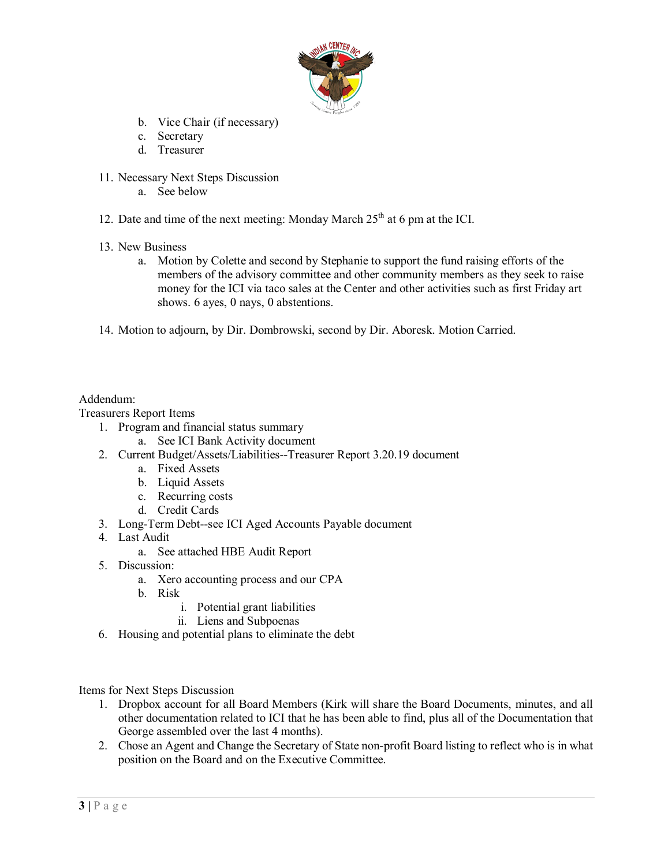

- b. Vice Chair (if necessary)
- c. Secretary
- d. Treasurer
- 11. Necessary Next Steps Discussion
	- a. See below
- 12. Date and time of the next meeting: Monday March  $25<sup>th</sup>$  at 6 pm at the ICI.
- 13. New Business
	- a. Motion by Colette and second by Stephanie to support the fund raising efforts of the members of the advisory committee and other community members as they seek to raise money for the ICI via taco sales at the Center and other activities such as first Friday art shows. 6 ayes, 0 nays, 0 abstentions.
- 14. Motion to adjourn, by Dir. Dombrowski, second by Dir. Aboresk. Motion Carried.

## Addendum:

Treasurers Report Items

- 1. Program and financial status summary
	- a. See ICI Bank Activity document
- 2. Current Budget/Assets/Liabilities--Treasurer Report 3.20.19 document
	- a. Fixed Assets
	- b. Liquid Assets
	- c. Recurring costs
	- d. Credit Cards
- 3. Long-Term Debt--see ICI Aged Accounts Payable document
- 4. Last Audit
	- a. See attached HBE Audit Report
- 5. Discussion:
	- a. Xero accounting process and our CPA
	- b. Risk
		- i. Potential grant liabilities
		- ii. Liens and Subpoenas
- 6. Housing and potential plans to eliminate the debt

Items for Next Steps Discussion

- 1. Dropbox account for all Board Members (Kirk will share the Board Documents, minutes, and all other documentation related to ICI that he has been able to find, plus all of the Documentation that George assembled over the last 4 months).
- 2. Chose an Agent and Change the Secretary of State non-profit Board listing to reflect who is in what position on the Board and on the Executive Committee.